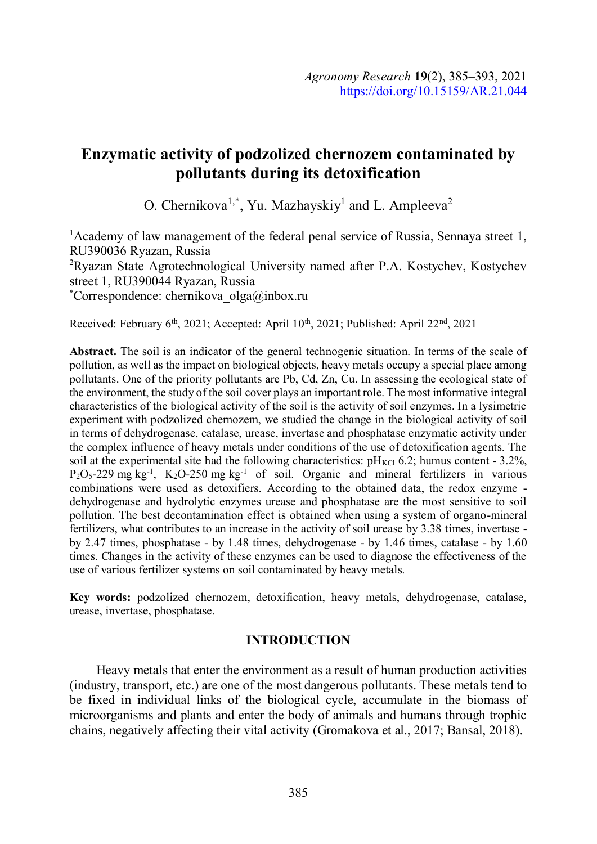# Enzymatic activity of podzolized chernozem contaminated by pollutants during its detoxification

O. Chernikova<sup>1,\*</sup>, Yu. Mazhayskiy<sup>1</sup> and L. Ampleeva<sup>2</sup>

<sup>1</sup> Academy of law management of the federal penal service of Russia, Sennaya street 1, RU390036 Ryazan, Russia

2Ryazan State Agrotechnological University named after P.A. Kostychev, Kostychev street 1, RU390044 Ryazan, Russia<br>\*Correspondence: chernikova\_olga@inbox.ru

Received: February 6<sup>th</sup>, 2021; Accepted: April 10<sup>th</sup>, 2021; Published: April 22<sup>nd</sup>, 2021

Abstract. The soil is an indicator of the general technogenic situation. In terms of the scale of pollution, as well as the impact on biological objects, heavy metals occupy a special place among pollutants. One of the priority pollutants are Pb, Cd, Zn, Cu. In assessing the ecological state of the environment, the study of the soil cover plays an important role. The most informative integral characteristics of the biological activity of the soil is the activity of soil enzymes. In a lysimetric experiment with podzolized chernozem, we studied the change in the biological activity of soil in terms of dehydrogenase, catalase, urease, invertase and phosphatase enzymatic activity under the complex influence of heavy metals under conditions of the use of detoxification agents. The soil at the experimental site had the following characteristics:  $pH_{KCl}$  6.2; humus content - 3.2%,  $P_2O_5-229$  mg kg<sup>-1</sup>, K<sub>2</sub>O-250 mg kg<sup>-1</sup> of soil. Organic and mineral fertilizers in various combinations were used as detoxifiers. According to the obtained data, the redox enzyme dehydrogenase and hydrolytic enzymes urease and phosphatase are the most sensitive to soil pollution. The best decontamination effect is obtained when using a system of organo-mineral fertilizers, what contributes to an increase in the activity of soil urease by 3.38 times, invertase by 2.47 times, phosphatase - by 1.48 times, dehydrogenase - by 1.46 times, catalase - by 1.60 times. Changes in the activity of these enzymes can be used to diagnose the effectiveness of the use of various fertilizer systems on soil contaminated by heavy metals.

Key words: podzolized chernozem, detoxification, heavy metals, dehydrogenase, catalase, urease, invertase, phosphatase.

## INTRODUCTION

Heavy metals that enter the environment as a result of human production activities (industry, transport, etc.) are one of the most dangerous pollutants. These metals tend to be fixed in individual links of the biological cycle, accumulate in the biomass of microorganisms and plants and enter the body of animals and humans through trophic chains, negatively affecting their vital activity (Gromakova et al., 2017; Bansal, 2018).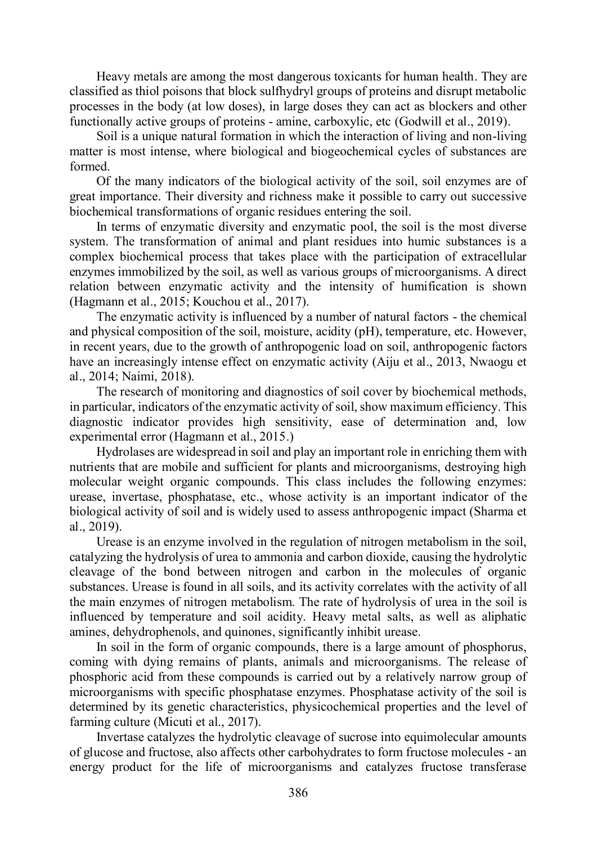Heavy metals are among the most dangerous toxicants for human health. They are classified as thiol poisons that block sulfhydryl groups of proteins and disrupt metabolic processes in the body (at low doses), in large doses they can act as blockers and other functionally active groups of proteins - amine, carboxylic, etc (Godwill et al., 2019).

Soil is a unique natural formation in which the interaction of living and non-living matter is most intense, where biological and biogeochemical cycles of substances are formed.

Of the many indicators of the biological activity of the soil, soil enzymes are of great importance. Their diversity and richness make it possible to carry out successive biochemical transformations of organic residues entering the soil.

In terms of enzymatic diversity and enzymatic pool, the soil is the most diverse system. The transformation of animal and plant residues into humic substances is a complex biochemical process that takes place with the participation of extracellular enzymes immobilized by the soil, as well as various groups of microorganisms. A direct relation between enzymatic activity and the intensity of humification is shown (Hagmann et al., 2015; Kouchou et al., 2017).

The enzymatic activity is influenced by a number of natural factors - the chemical and physical composition of the soil, moisture, acidity (pH), temperature, etc. However, in recent years, due to the growth of anthropogenic load on soil, anthropogenic factors have an increasingly intense effect on enzymatic activity (Aiju et al., 2013, Nwaogu et al., 2014; Naimi, 2018).

The research of monitoring and diagnostics of soil cover by biochemical methods, in particular, indicators of the enzymatic activity of soil, show maximum efficiency. This diagnostic indicator provides high sensitivity, ease of determination and, low experimental error (Hagmann et al., 2015.)

Hydrolases are widespread in soil and play an important role in enriching them with nutrients that are mobile and sufficient for plants and microorganisms, destroying high molecular weight organic compounds. This class includes the following enzymes: urease, invertase, phosphatase, etc., whose activity is an important indicator of the biological activity of soil and is widely used to assess anthropogenic impact (Sharma et al., 2019).

Urease is an enzyme involved in the regulation of nitrogen metabolism in the soil, catalyzing the hydrolysis of urea to ammonia and carbon dioxide, causing the hydrolytic cleavage of the bond between nitrogen and carbon in the molecules of organic substances. Urease is found in all soils, and its activity correlates with the activity of all the main enzymes of nitrogen metabolism. The rate of hydrolysis of urea in the soil is influenced by temperature and soil acidity. Heavy metal salts, as well as aliphatic amines, dehydrophenols, and quinones, significantly inhibit urease.

In soil in the form of organic compounds, there is a large amount of phosphorus, coming with dying remains of plants, animals and microorganisms. The release of phosphoric acid from these compounds is carried out by a relatively narrow group of microorganisms with specific phosphatase enzymes. Phosphatase activity of the soil is determined by its genetic characteristics, physicochemical properties and the level of farming culture (Micuti et al., 2017).

Invertase catalyzes the hydrolytic cleavage of sucrose into equimolecular amounts of glucose and fructose, also affects other carbohydrates to form fructose molecules - an energy product for the life of microorganisms and catalyzes fructose transferase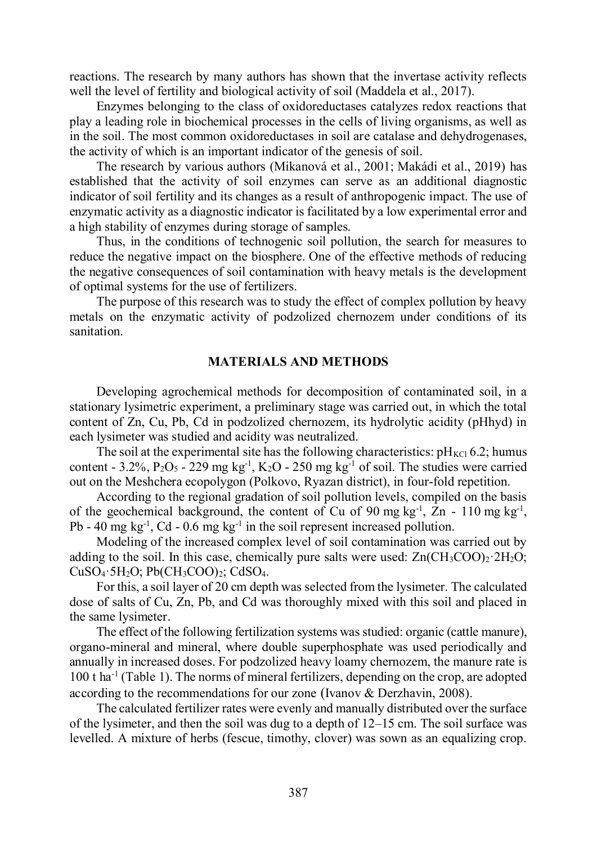reactions. The research by many authors has shown that the invertase activity reflects well the level of fertility and biological activity of soil (Maddela et al., 2017).

Enzymes belonging to the class of oxidoreductases catalyzes redox reactions that play a leading role in biochemical processes in the cells of living organisms, as well as in the soil. The most common oxidoreductases in soil are catalase and dehydrogenases, the activity of which is an important indicator of the genesis of soil.

The research by various authors (Mikanová et al., 2001; Makádi et al., 2019) has established that the activity of soil enzymes can serve as an additional diagnostic indicator of soil fertility and its changes as a result of anthropogenic impact. The use of enzymatic activity as a diagnostic indicator is facilitated by a low experimental error and a high stability of enzymes during storage of samples.

Thus, in the conditions of technogenic soil pollution, the search for measures to reduce the negative impact on the biosphere. One of the effective methods of reducing the negative consequences of soil contamination with heavy metals is the development of optimal systems for the use of fertilizers.

The purpose of this research was to study the effect of complex pollution by heavy metals on the enzymatic activity of podzolized chernozem under conditions of its sanitation.

#### MATERIALS AND METHODS

Developing agrochemical methods for decomposition of contaminated soil, in a stationary lysimetric experiment, a preliminary stage was carried out, in which the total content of Zn, Cu, Pb, Cd in podzolized chernozem, its hydrolytic acidity (pHhyd) in each lysimeter was studied and acidity was neutralized.

The soil at the experimental site has the following characteristics:  $pH_{\text{KCl}}$  6.2; humus content - 3.2%,  $P_2O_5$  - 229 mg kg<sup>-1</sup>, K<sub>2</sub>O - 250 mg kg<sup>-1</sup> of soil. The studies were carried out on the Meshchera ecopolygon (Polkovo, Ryazan district), in four-fold repetition.

According to the regional gradation of soil pollution levels, compiled on the basis of the geochemical background, the content of Cu of 90 mg kg<sup>-1</sup>, Zn - 110 mg kg<sup>-1</sup>, Pb - 40 mg kg<sup>-1</sup>, Cd - 0.6 mg kg<sup>-1</sup> in the soil represent increased pollution.

Modeling of the increased complex level of soil contamination was carried out by adding to the soil. In this case, chemically pure salts were used:  $Zn(CH_3COO)_2.2H_2O$ ;  $CuSO_4·5H_2O$ ; Pb(CH<sub>3</sub>COO)<sub>2</sub>; CdSO<sub>4</sub>.<br>For this, a soil layer of 20 cm depth was selected from the lysimeter. The calculated

dose of salts of Cu, Zn, Pb, and Cd was thoroughly mixed with this soil and placed in the same lysimeter.

The effect of the following fertilization systems was studied: organic (cattle manure), organo-mineral and mineral, where double superphosphate was used periodically and annually in increased doses. For podzolized heavy loamy chernozem, the manure rate is 100 t ha-1 (Table 1). The norms of mineral fertilizers, depending on the crop, are adopted according to the recommendations for our zone (Ivanov & Derzhavin, 2008).

The calculated fertilizer rates were evenly and manually distributed over the surface of the lysimeter, and then the soil was dug to a depth of 12–15 cm. The soil surface was levelled. A mixture of herbs (fescue, timothy, clover) was sown as an equalizing crop.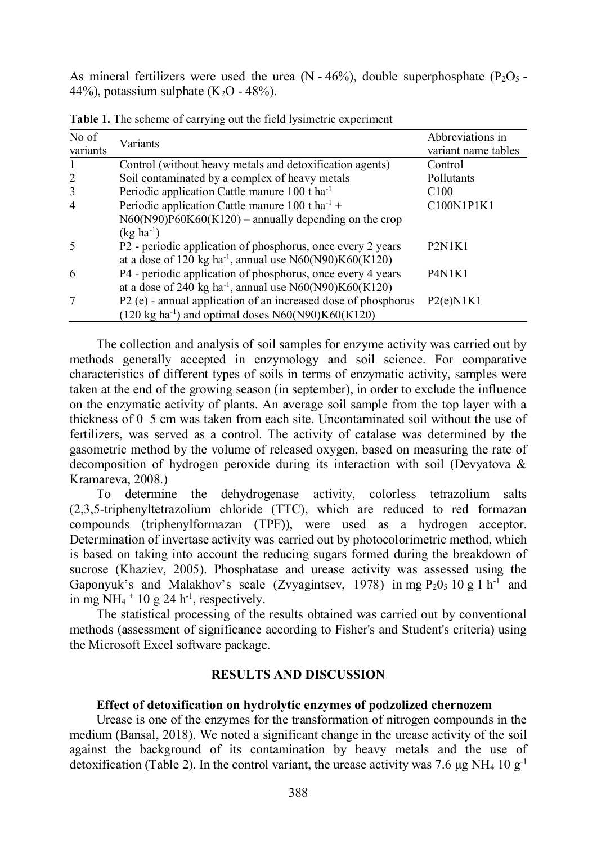As mineral fertilizers were used the urea (N - 46%), double superphosphate (P<sub>2</sub>O<sub>5</sub> - 44%), potassium sulphate (K<sub>2</sub>O - 48%).

| No of<br>variants | Variants                                                              | Abbreviations in<br>variant name tables      |
|-------------------|-----------------------------------------------------------------------|----------------------------------------------|
|                   | Control (without heavy metals and detoxification agents)              | Control                                      |
| $\overline{2}$    | Soil contaminated by a complex of heavy metals                        | Pollutants                                   |
| 3                 | Periodic application Cattle manure 100 t ha <sup>-1</sup>             | C100                                         |
| $\overline{4}$    | Periodic application Cattle manure 100 t ha <sup>-1</sup> +           | C100N1P1K1                                   |
|                   | $N60(N90)P60K60(K120)$ – annually depending on the crop               |                                              |
|                   | $(kg ha^{-1})$                                                        |                                              |
| 5                 | P2 - periodic application of phosphorus, once every 2 years           | P2N1K1                                       |
|                   | at a dose of 120 kg ha <sup>-1</sup> , annual use $N60(N90)K60(K120)$ |                                              |
| 6                 | P4 - periodic application of phosphorus, once every 4 years           | P <sub>4</sub> N <sub>1</sub> K <sub>1</sub> |
|                   | at a dose of 240 kg ha <sup>-1</sup> , annual use $N60(N90)K60(K120)$ |                                              |
|                   | P2 (e) - annual application of an increased dose of phosphorus        | P2(e)N1K1                                    |
|                   | $(120 \text{ kg ha}^{-1})$ and optimal doses N60(N90)K60(K120)        |                                              |

Table 1. The scheme of carrying out the field lysimetric experiment

The collection and analysis of soil samples for enzyme activity was carried out by methods generally accepted in enzymology and soil science. For comparative characteristics of different types of soils in terms of enzymatic activity, samples were taken at the end of the growing season (in september), in order to exclude the influence on the enzymatic activity of plants. An average soil sample from the top layer with a thickness of 0–5 cm was taken from each site. Uncontaminated soil without the use of fertilizers, was served as a control. The activity of catalase was determined by the gasometric method by the volume of released oxygen, based on measuring the rate of decomposition of hydrogen peroxide during its interaction with soil (Devyatova & Kramareva, 2008.)

To determine the dehydrogenase activity, colorless tetrazolium salts (2,3,5-triphenyltetrazolium chloride (TTC), which are reduced to red formazan compounds (triphenylformazan (TPF)), were used as a hydrogen acceptor. Determination of invertase activity was carried out by photocolorimetric method, which is based on taking into account the reducing sugars formed during the breakdown of sucrose (Khaziev, 2005). Phosphatase and urease activity was assessed using the Gaponyuk's and Malakhov's scale (Zvyagintsev, 1978) in mg  $P_2O_5$  10 g 1 h<sup>-1</sup> and in mg NH<sub>4</sub>  $+$  10 g 24 h<sup>-1</sup>, respectively.

The statistical processing of the results obtained was carried out by conventional methods (assessment of significance according to Fisher's and Student's criteria) using the Microsoft Excel software package.

## RESULTS AND DISCUSSION

#### Effect of detoxification on hydrolytic enzymes of podzolized chernozem

Urease is one of the enzymes for the transformation of nitrogen compounds in the medium (Bansal, 2018). We noted a significant change in the urease activity of the soil against the background of its contamination by heavy metals and the use of detoxification (Table 2). In the control variant, the urease activity was 7.6 μg NH<sub>4</sub> 10 g<sup>-1</sup>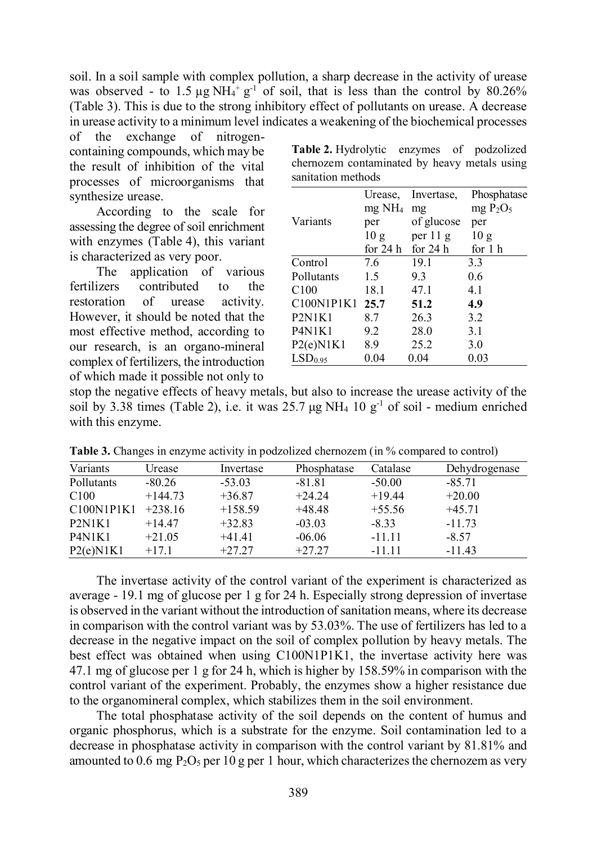soil. In a soil sample with complex pollution, a sharp decrease in the activity of urease was observed - to 1.5  $\mu$ g NH<sub>4</sub><sup>+</sup> g<sup>-1</sup> of soil, that is less than the control by 80.26% (Table 3). This is due to the strong inhibitory effect of pollutants on urease. A decrease in urease activity to a minimum level indicates a weakening of the biochemical processes

of the exchange of nitrogencontaining compounds, which may be the result of inhibition of the vital processes of microorganisms that synthesize urease.

According to the scale for assessing the degree of soil enrichment with enzymes (Table 4), this variant is characterized as very poor.

The application of various fertilizers contributed to the restoration of urease activity. However, it should be noted that the most effective method, according to our research, is an organo-mineral complex of fertilizers, the introduction of which made it possible not only to

Table 2. Hydrolytic enzymes of podzolized chernozem contaminated by heavy metals using sanitation methods

|                                              | Urease,                   | Invertase, | Phosphatase     |
|----------------------------------------------|---------------------------|------------|-----------------|
|                                              | $mg$ NH <sub>4</sub> $mg$ |            | $mg P_2O_5$     |
| Variants                                     | per                       | of glucose | per             |
|                                              | 10g                       | per $11 g$ | 10 <sub>g</sub> |
|                                              | for $24h$                 | for $24 h$ | for 1 h         |
| Control                                      | 7.6                       | 19.1       | 3.3             |
| Pollutants                                   | 1.5                       | 9.3        | 0.6             |
| C100                                         | 18.1                      | 47.1       | 4.1             |
| C100N1P1K1 25.7                              |                           | 51.2       | 4.9             |
| P2N1K1                                       | 8.7                       | 26.3       | 3.2             |
| P <sub>4</sub> N <sub>1</sub> K <sub>1</sub> | 9.2                       | 28.0       | 3.1             |
| P2(e)N1K1                                    | 8.9                       | 25.2       | 3.0             |
| LSD <sub>0.95</sub>                          | 0.04                      | 0.04       | 0.03            |

stop the negative effects of heavy metals, but also to increase the urease activity of the soil by 3.38 times (Table 2), i.e. it was  $25.7 \mu g NH_4$  10  $g^{-1}$  of soil - medium enriched with this enzyme.

| Variants                                     | Urease    | Invertase | Phosphatase | Catalase | Dehydrogenase |
|----------------------------------------------|-----------|-----------|-------------|----------|---------------|
| Pollutants                                   | $-80.26$  | $-53.03$  | $-81.81$    | $-50.00$ | $-85.71$      |
| C100                                         | $+144.73$ | $+36.87$  | $+24.24$    | $+19.44$ | $+20.00$      |
| C100N1P1K1                                   | $+238.16$ | $+158.59$ | $+48.48$    | $+55.56$ | $+45.71$      |
| P2N1K1                                       | $+14.47$  | $+32.83$  | $-03.03$    | $-8.33$  | $-11.73$      |
| P <sub>4</sub> N <sub>1</sub> K <sub>1</sub> | $+21.05$  | $+41.41$  | $-06.06$    | $-11.11$ | $-8.57$       |
| P2(e)N1K1                                    | $+17.1$   | $+27.27$  | $+27.27$    | $-11.11$ | $-11.43$      |

Table 3. Changes in enzyme activity in podzolized chernozem (in % compared to control)

The invertase activity of the control variant of the experiment is characterized as average - 19.1 mg of glucose per 1 g for 24 h. Especially strong depression of invertase is observed in the variant without the introduction of sanitation means, where its decrease in comparison with the control variant was by 53.03%. The use of fertilizers has led to a decrease in the negative impact on the soil of complex pollution by heavy metals. The best effect was obtained when using С100N1P1K1, the invertase activity here was 47.1 mg of glucose per 1 g for 24 h, which is higher by 158.59% in comparison with the control variant of the experiment. Probably, the enzymes show a higher resistance due to the organomineral complex, which stabilizes them in the soil environment.

The total phosphatase activity of the soil depends on the content of humus and organic phosphorus, which is a substrate for the enzyme. Soil contamination led to a decrease in phosphatase activity in comparison with the control variant by 81.81% and amounted to 0.6 mg  $P_2O_5$  per 10 g per 1 hour, which characterizes the chernozem as very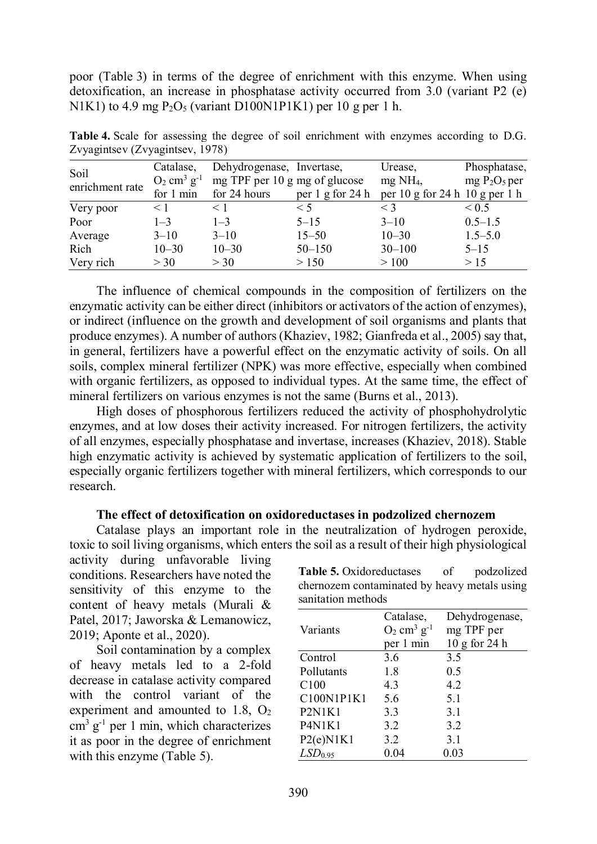poor (Table 3) in terms of the degree of enrichment with this enzyme. When using detoxification, an increase in phosphatase activity occurred from 3.0 (variant P2 (e) N1K1) to 4.9 mg  $P_2O_5$  (variant D100N1P1K1) per 10 g per 1 h.

| Soil            | Catalase,                             | Dehydrogenase, Invertase,     |                  | Urease,                                                                | Phosphatase,  |
|-----------------|---------------------------------------|-------------------------------|------------------|------------------------------------------------------------------------|---------------|
| enrichment rate | $O_2$ cm <sup>3</sup> g <sup>-1</sup> | mg TPF per 10 g mg of glucose |                  | $mg$ NH <sub>4</sub> ,                                                 | $mg P2O5$ per |
|                 | for 1 min                             | for 24 hours                  | per 1 g for 24 h | per $10 \text{ g}$ for $24 \text{ h}$ $10 \text{ g}$ per $1 \text{ h}$ |               |
| Very poor       | $\leq 1$                              | $\leq 1$                      | $\leq 5$         | $\leq$ 3                                                               | ${}_{0.5}$    |
| Poor            | $1 - 3$                               | $1 - 3$                       | $5 - 15$         | $3 - 10$                                                               | $0.5 - 1.5$   |
| Average         | $3 - 10$                              | $3 - 10$                      | $15 - 50$        | $10 - 30$                                                              | $1.5 - 5.0$   |
| Rich            | $10 - 30$                             | $10 - 30$                     | $50 - 150$       | $30 - 100$                                                             | $5 - 15$      |
| Very rich       | >30                                   | $>$ 30                        | > 150            | >100                                                                   | >15           |

Table 4. Scale for assessing the degree of soil enrichment with enzymes according to D.G. Zvyagintsev (Zvyagintsev, 1978)

The influence of chemical compounds in the composition of fertilizers on the enzymatic activity can be either direct (inhibitors or activators of the action of enzymes), or indirect (influence on the growth and development of soil organisms and plants that produce enzymes). A number of authors (Khaziev, 1982; Gianfreda et al., 2005) say that, in general, fertilizers have a powerful effect on the enzymatic activity of soils. On all soils, complex mineral fertilizer (NPK) was more effective, especially when combined with organic fertilizers, as opposed to individual types. At the same time, the effect of Expansive Coverants of Carentae and Particular contents of the same (Burster, Density of Dependient and Covernight The Theoretic for This Covernic for the same of the same of the same of the same of the same of the same o

High doses of phosphorous fertilizers reduced the activity of phosphohydrolytic enzymes, and at low doses their activity increased. For nitrogen fertilizers, the activity of all enzymes, especially phosphatase and invertase, increases (Khaziev, 2018). Stable high enzymatic activity is achieved by systematic application of fertilizers to the soil, especially organic fertilizers together with mineral fertilizers, which corresponds to our research.

## The effect of detoxification on oxidoreductases in podzolized chernozem

Catalase plays an important role in the neutralization of hydrogen peroxide, toxic to soil living organisms, which enters the soil as a result of their high physiological

activity during unfavorable living conditions. Researchers have noted the sensitivity of this enzyme to the content of heavy metals (Murali & Patel, 2017; Jaworska & Lemanowicz, 2019; Aponte et al., 2020).

Soil contamination by a complex of heavy metals led to a 2-fold decrease in catalase activity compared with the control variant of the experiment and amounted to 1.8,  $O_2$ cm<sup>3</sup> g<sup>-1</sup> per 1 min, which characterizes P4N1K1 it as poor in the degree of enrichment with this enzyme (Table 5).

Table 5. Oxidoreductases of podzolized chernozem contaminated by heavy metals using sanitation methods

|                                              | Catalase,                             | Dehydrogenase,    |
|----------------------------------------------|---------------------------------------|-------------------|
| Variants                                     | $O_2$ cm <sup>3</sup> g <sup>-1</sup> | mg TPF per        |
|                                              | per 1 min                             | $10$ g for $24$ h |
| Control                                      | 3.6                                   | 3.5               |
| Pollutants                                   | 1.8                                   | 0.5               |
| C <sub>100</sub>                             | 4.3                                   | 4.2               |
| C100N1P1K1                                   | 5.6                                   | 5.1               |
| P <sub>2</sub> N <sub>1</sub> K <sub>1</sub> | 3.3                                   | 3.1               |
| P4N1K1                                       | 3.2                                   | 3.2               |
| P2(e)N1K1                                    | 3.2                                   | 3.1               |
| LSD <sub>0.95</sub>                          | 0.04                                  | 0.03              |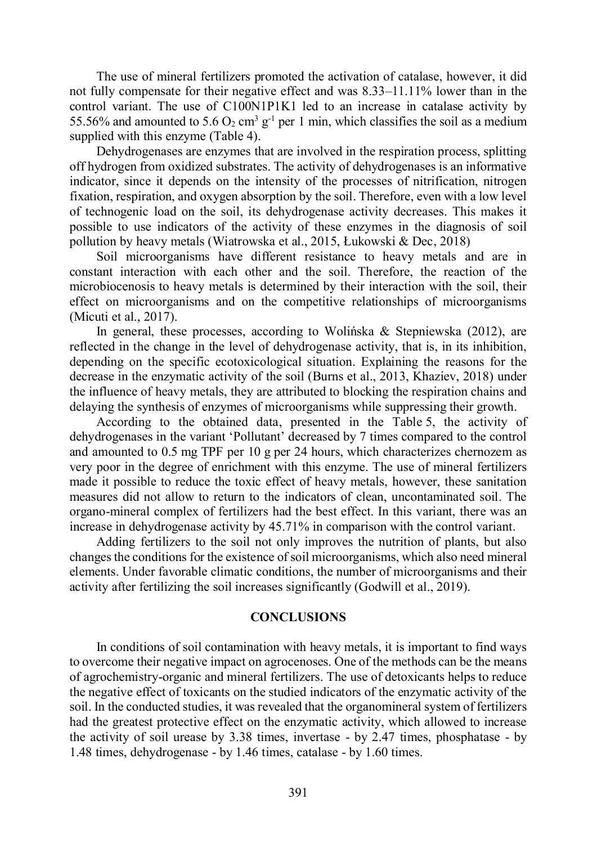The use of mineral fertilizers promoted the activation of catalase, however, it did not fully compensate for their negative effect and was 8.33–11.11% lower than in the control variant. The use of С100N1P1K1 led to an increase in catalase activity by 55.56% and amounted to 5.6  $O_2$  cm<sup>3</sup> g<sup>-1</sup> per 1 min, which classifies the soil as a medium supplied with this enzyme (Table 4).

Dehydrogenases are enzymes that are involved in the respiration process, splitting off hydrogen from oxidized substrates. The activity of dehydrogenases is an informative indicator, since it depends on the intensity of the processes of nitrification, nitrogen fixation, respiration, and oxygen absorption by the soil. Therefore, even with a low level of technogenic load on the soil, its dehydrogenase activity decreases. This makes it possible to use indicators of the activity of these enzymes in the diagnosis of soil pollution by heavy metals (Wiatrowska et al., 2015, Łukowski & Dec, 2018)

Soil microorganisms have different resistance to heavy metals and are in constant interaction with each other and the soil. Therefore, the reaction of the microbiocenosis to heavy metals is determined by their interaction with the soil, their effect on microorganisms and on the competitive relationships of microorganisms (Micuti et al., 2017).

In general, these processes, according to Wolińska & Stepniewska (2012), are reflected in the change in the level of dehydrogenase activity, that is, in its inhibition, depending on the specific ecotoxicological situation. Explaining the reasons for the decrease in the enzymatic activity of the soil (Burns et al., 2013, Khaziev, 2018) under the influence of heavy metals, they are attributed to blocking the respiration chains and delaying the synthesis of enzymes of microorganisms while suppressing their growth.

According to the obtained data, presented in the Table 5, the activity of dehydrogenases in the variant 'Pollutant' decreased by 7 times compared to the control and amounted to 0.5 mg TPF per 10 g per 24 hours, which characterizes chernozem as very poor in the degree of enrichment with this enzyme. The use of mineral fertilizers made it possible to reduce the toxic effect of heavy metals, however, these sanitation measures did not allow to return to the indicators of clean, uncontaminated soil. The organo-mineral complex of fertilizers had the best effect. In this variant, there was an increase in dehydrogenase activity by 45.71% in comparison with the control variant.

Adding fertilizers to the soil not only improves the nutrition of plants, but also changes the conditions for the existence of soil microorganisms, which also need mineral elements. Under favorable climatic conditions, the number of microorganisms and their activity after fertilizing the soil increases significantly (Godwill et al., 2019).

#### CONCLUSIONS

In conditions of soil contamination with heavy metals, it is important to find ways to overcome their negative impact on agrocenoses. One of the methods can be the means of agrochemistry-organic and mineral fertilizers. The use of detoxicants helps to reduce the negative effect of toxicants on the studied indicators of the enzymatic activity of the soil. In the conducted studies, it was revealed that the organomineral system of fertilizers had the greatest protective effect on the enzymatic activity, which allowed to increase the activity of soil urease by 3.38 times, invertase - by 2.47 times, phosphatase - by 1.48 times, dehydrogenase - by 1.46 times, catalase - by 1.60 times.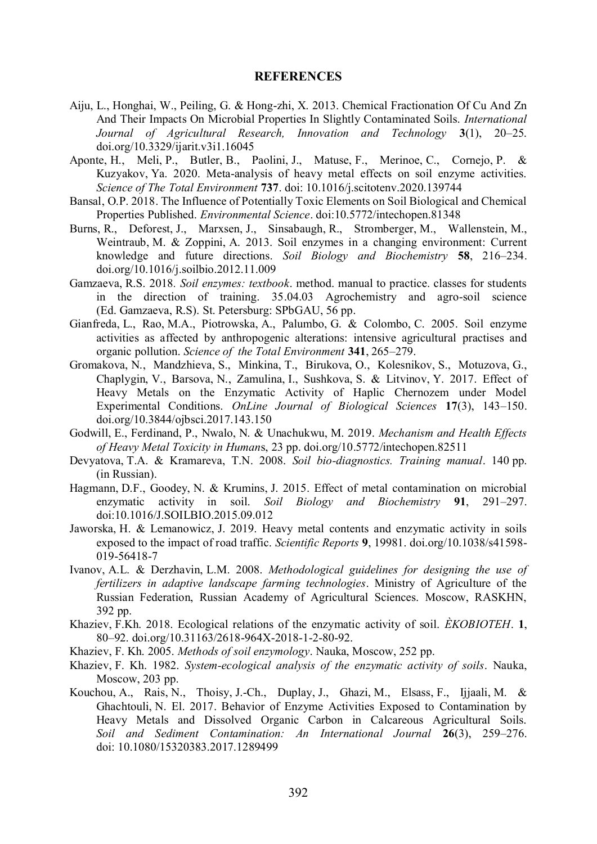### **REFERENCES**

- Aiju, L., Honghai, W., Peiling, G. & Hong-zhi, X. 2013. Chemical Fractionation Of Cu And Zn And Their Impacts On Microbial Properties In Slightly Contaminated Soils. International Journal of Agricultural Research, Innovation and Technology 3(1), 20–25. doi.org/10.3329/ijarit.v3i1.16045
- Aponte, H., Meli, P., Butler, B., Paolini, J., Matuse, F., Merinoe, C., Cornejo, P. & Kuzyakov, Ya. 2020. Meta-analysis of heavy metal effects on soil enzyme activities. Science of The Total Environment 737. doi: 10.1016/j.scitotenv.2020.139744
- Bansal, O.P. 2018. The Influence of Potentially Toxic Elements on Soil Biological and Chemical Properties Published. Environmental Science. doi:10.5772/intechopen.81348
- Burns, R., Deforest, J., Marxsen, J., Sinsabaugh, R., Stromberger, M., Wallenstein, M., Weintraub, M. & Zoppini, A. 2013. Soil enzymes in a changing environment: Current knowledge and future directions. Soil Biology and Biochemistry 58, 216–234. doi.org/10.1016/j.soilbio.2012.11.009
- Gamzaeva, R.S. 2018. Soil enzymes: textbook. method. manual to practice. classes for students in the direction of training. 35.04.03 Agrochemistry and agro-soil science (Ed. Gamzaeva, R.S). St. Petersburg: SPbGAU, 56 pp.
- Gianfreda, L., Rao, M.A., Piotrowska, A., Palumbo, G. & Colombo, C. 2005. Soil enzyme activities as affected by anthropogenic alterations: intensive agricultural practises and organic pollution. Science of the Total Environment 341, 265–279.
- Gromakova, N., Mandzhieva, S., Minkina, T., Birukova, O., Kolesnikov, S., Motuzova, G., Chaplygin, V., Barsova, N., Zamulina, I., Sushkova, S. & Litvinov, Y. 2017. Effect of Heavy Metals on the Enzymatic Activity of Haplic Chernozem under Model Experimental Conditions. OnLine Journal of Biological Sciences 17(3), 143–150. doi.org/10.3844/ojbsci.2017.143.150
- Godwill, E., Ferdinand, P., Nwalo, N. & Unachukwu, M. 2019. Mechanism and Health Effects of Heavy Metal Toxicity in Humans, 23 pp. doi.org/10.5772/intechopen.82511
- Devyatova, T.A. & Kramareva, T.N. 2008. Soil bio-diagnostics. Training manual. 140 pp. (in Russian).
- Hagmann, D.F., Goodey, N. & Krumins, J. 2015. Effect of metal contamination on microbial enzymatic activity in soil. Soil Biology and Biochemistry 91, 291–297. doi:10.1016/J.SOILBIO.2015.09.012
- Jaworska, H. & Lemanowicz, J. 2019. Heavy metal contents and enzymatic activity in soils exposed to the impact of road traffic. Scientific Reports 9, 19981. doi.org/10.1038/s41598- 019-56418-7
- Ivanov, A.L. & Derzhavin, L.M. 2008. Methodological guidelines for designing the use of fertilizers in adaptive landscape farming technologies. Ministry of Agriculture of the Russian Federation, Russian Academy of Agricultural Sciences. Moscow, RASKHN, 392 pp.
- Khaziev, F.Kh. 2018. Ecological relations of the enzymatic activity of soil. *ÈKOBIOTEH*. 1, 80–92. doi.org/10.31163/2618-964X-2018-1-2-80-92.
- Khaziev, F. Kh. 2005. Methods of soil enzymology. Nauka, Moscow, 252 pp.
- Khaziev, F. Kh. 1982. System-ecological analysis of the enzymatic activity of soils. Nauka, Moscow, 203 pp.
- Kouchou, A., Rais, N., Thoisy, J.-Ch., Duplay, J., Ghazi, M., Elsass, F., Ijjaali, M. & Ghachtouli, N. El. 2017. Behavior of Enzyme Activities Exposed to Contamination by Heavy Metals and Dissolved Organic Carbon in Calcareous Agricultural Soils. Soil and Sediment Contamination: An International Journal 26(3), 259–276. doi: 10.1080/15320383.2017.1289499